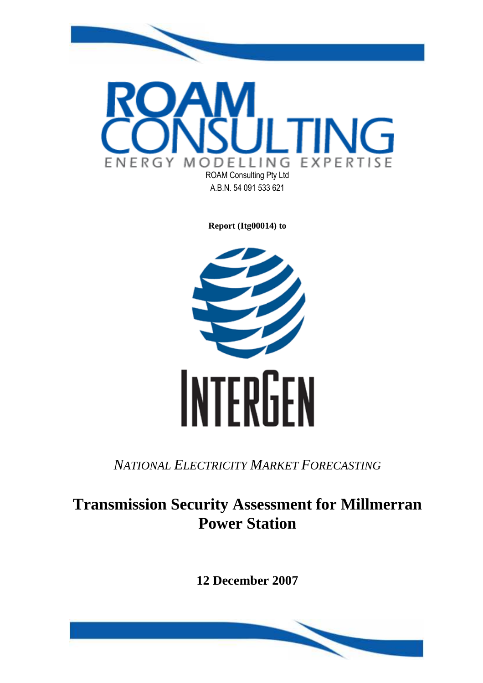

**Report (Itg00014) to** 



*NATIONAL ELECTRICITY MARKET FORECASTING*

# **Transmission Security Assessment for Millmerran Power Station**

**12 December 2007** 

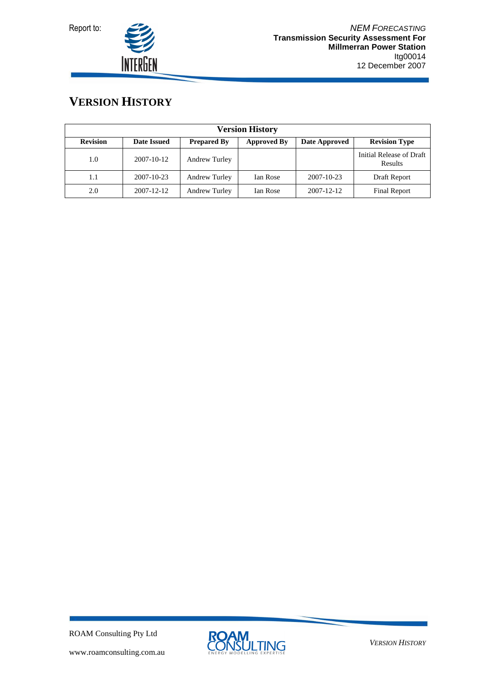



# **VERSION HISTORY**

| <b>Version History</b> |                  |                      |                    |                  |                                     |  |  |
|------------------------|------------------|----------------------|--------------------|------------------|-------------------------------------|--|--|
| <b>Revision</b>        | Date Issued      | <b>Prepared By</b>   | <b>Approved By</b> | Date Approved    | <b>Revision Type</b>                |  |  |
| 1.0                    | $2007 - 10 - 12$ | <b>Andrew Turley</b> |                    |                  | Initial Release of Draft<br>Results |  |  |
| 1.1                    | 2007-10-23       | <b>Andrew Turley</b> | Ian Rose           | $2007 - 10 - 23$ | Draft Report                        |  |  |
| 2.0                    | $2007 - 12 - 12$ | Andrew Turley        | Ian Rose           | 2007-12-12       | <b>Final Report</b>                 |  |  |

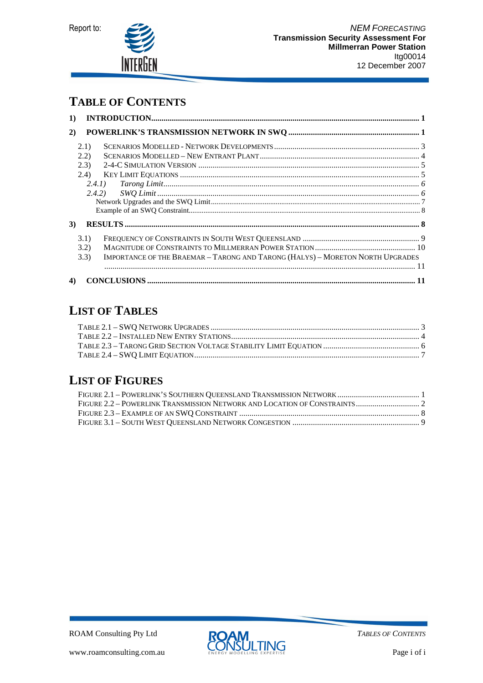



### **TABLE OF CONTENTS**

| $\bf{1)}$ |       |                                                                                |  |
|-----------|-------|--------------------------------------------------------------------------------|--|
| 2)        |       |                                                                                |  |
|           | (2.1) |                                                                                |  |
|           | 2.2)  |                                                                                |  |
|           | (2.3) |                                                                                |  |
|           | (2.4) |                                                                                |  |
|           |       | (2.4.1)                                                                        |  |
|           |       |                                                                                |  |
|           |       |                                                                                |  |
|           |       |                                                                                |  |
| 3)        |       |                                                                                |  |
|           | 3.1)  |                                                                                |  |
|           | 3.2)  |                                                                                |  |
|           | 3.3)  | IMPORTANCE OF THE BRAEMAR - TARONG AND TARONG (HALYS) - MORETON NORTH UPGRADES |  |
|           |       |                                                                                |  |
| 4)        |       |                                                                                |  |

# **LIST OF TABLES**

# **LIST OF FIGURES**

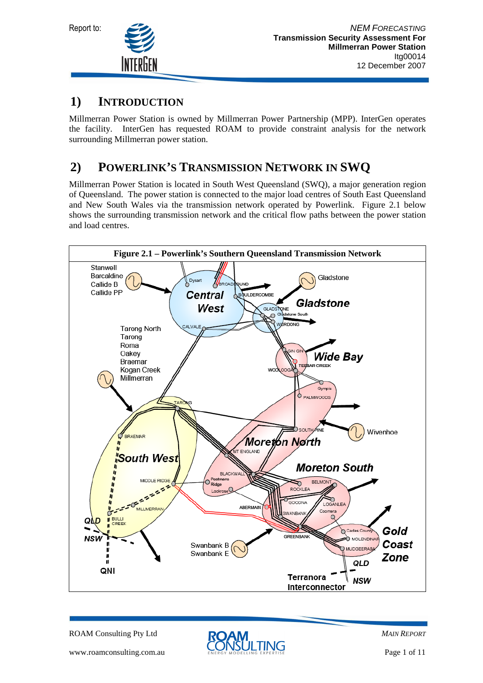

### **1) INTRODUCTION**

Millmerran Power Station is owned by Millmerran Power Partnership (MPP). InterGen operates the facility. InterGen has requested ROAM to provide constraint analysis for the network surrounding Millmerran power station.

# **2) POWERLINK'S TRANSMISSION NETWORK IN SWQ**

Millmerran Power Station is located in South West Queensland (SWQ), a major generation region of Queensland. The power station is connected to the major load centres of South East Queensland and New South Wales via the transmission network operated by Powerlink. Figure 2.1 below shows the surrounding transmission network and the critical flow paths between the power station and load centres.



ROAM Consulting Pty Ltd



*MAIN REPORT*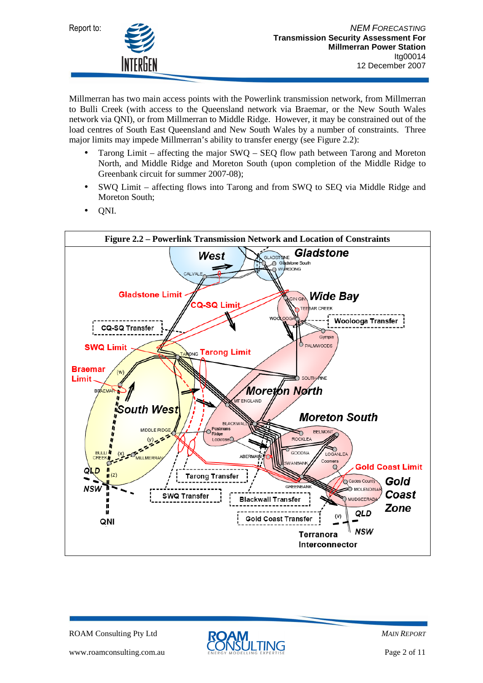



Millmerran has two main access points with the Powerlink transmission network, from Millmerran to Bulli Creek (with access to the Queensland network via Braemar, or the New South Wales network via QNI), or from Millmerran to Middle Ridge. However, it may be constrained out of the load centres of South East Queensland and New South Wales by a number of constraints. Three major limits may impede Millmerran's ability to transfer energy (see Figure 2.2):

- Tarong Limit affecting the major SWQ SEQ flow path between Tarong and Moreton North, and Middle Ridge and Moreton South (upon completion of the Middle Ridge to Greenbank circuit for summer 2007-08);
- SWQ Limit affecting flows into Tarong and from SWQ to SEQ via Middle Ridge and Moreton South;
- QNI.



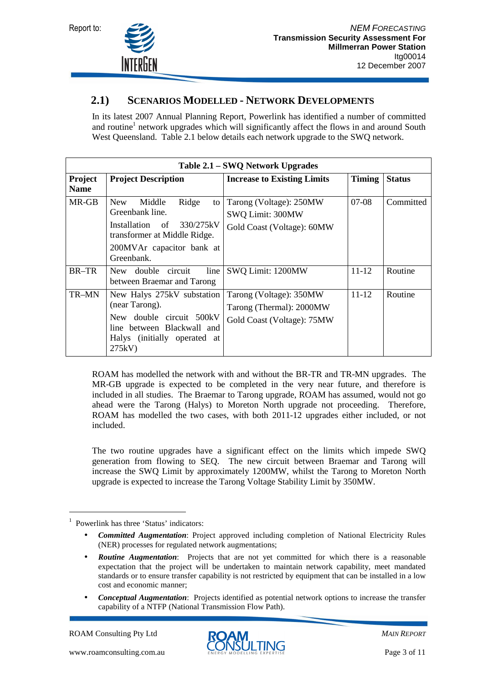



#### **2.1) SCENARIOS MODELLED - NETWORK DEVELOPMENTS**

In its latest 2007 Annual Planning Report, Powerlink has identified a number of committed and routine<sup>1</sup> network upgrades which will significantly affect the flows in and around South West Queensland. Table 2.1 below details each network upgrade to the SWQ network.

| Table 2.1 – SWQ Network Upgrades |                                                                                                                                                                        |                                                                                   |               |               |  |
|----------------------------------|------------------------------------------------------------------------------------------------------------------------------------------------------------------------|-----------------------------------------------------------------------------------|---------------|---------------|--|
| Project<br><b>Name</b>           | <b>Project Description</b>                                                                                                                                             | <b>Increase to Existing Limits</b>                                                | <b>Timing</b> | <b>Status</b> |  |
| MR-GB                            | <b>New</b><br>Ridge<br>Middle<br>to<br>Greenbank line.<br>330/275kV<br>Installation<br>- of<br>transformer at Middle Ridge.<br>200MVAr capacitor bank at<br>Greenbank. | Tarong (Voltage): 250MW<br>SWQ Limit: 300MW<br>Gold Coast (Voltage): 60MW         | $07-08$       | Committed     |  |
| <b>BR-TR</b>                     | circuit<br>line<br>double<br>New.<br>between Braemar and Tarong                                                                                                        | SWQ Limit: 1200MW                                                                 | $11 - 12$     | Routine       |  |
| TR-MN                            | New Halys 275kV substation<br>(near Tarong).<br>double circuit 500kV<br>New.<br>line between Blackwall and<br>Halys (initially operated at<br>275kV                    | Tarong (Voltage): 350MW<br>Tarong (Thermal): 2000MW<br>Gold Coast (Voltage): 75MW | $11 - 12$     | Routine       |  |

ROAM has modelled the network with and without the BR-TR and TR-MN upgrades. The MR-GB upgrade is expected to be completed in the very near future, and therefore is included in all studies. The Braemar to Tarong upgrade, ROAM has assumed, would not go ahead were the Tarong (Halys) to Moreton North upgrade not proceeding. Therefore, ROAM has modelled the two cases, with both 2011-12 upgrades either included, or not included.

The two routine upgrades have a significant effect on the limits which impede SWQ generation from flowing to SEQ. The new circuit between Braemar and Tarong will increase the SWQ Limit by approximately 1200MW, whilst the Tarong to Moreton North upgrade is expected to increase the Tarong Voltage Stability Limit by 350MW.

• *Conceptual Augmentation*: Projects identified as potential network options to increase the transfer capability of a NTFP (National Transmission Flow Path).

 $\overline{a}$ 



<sup>&</sup>lt;sup>1</sup> Powerlink has three 'Status' indicators:

<sup>•</sup> *Committed Augmentation*: Project approved including completion of National Electricity Rules (NER) processes for regulated network augmentations;

**Routine Augmentation:** Projects that are not yet committed for which there is a reasonable expectation that the project will be undertaken to maintain network capability, meet mandated standards or to ensure transfer capability is not restricted by equipment that can be installed in a low cost and economic manner;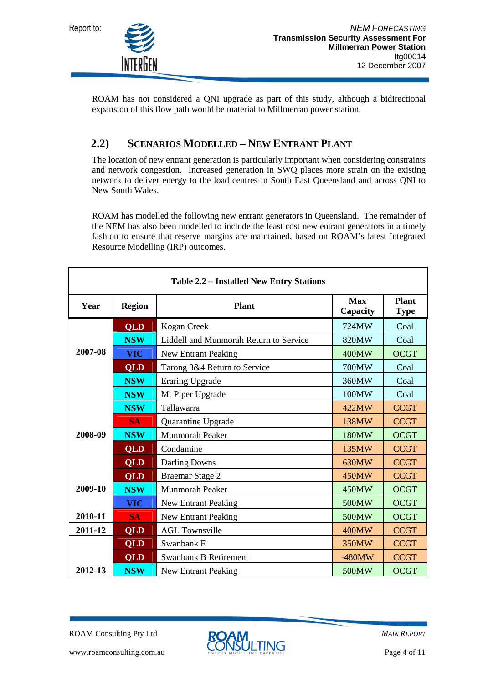



ROAM has not considered a QNI upgrade as part of this study, although a bidirectional expansion of this flow path would be material to Millmerran power station.

#### **2.2) SCENARIOS MODELLED – NEW ENTRANT PLANT**

The location of new entrant generation is particularly important when considering constraints and network congestion. Increased generation in SWQ places more strain on the existing network to deliver energy to the load centres in South East Queensland and across QNI to New South Wales.

ROAM has modelled the following new entrant generators in Queensland. The remainder of the NEM has also been modelled to include the least cost new entrant generators in a timely fashion to ensure that reserve margins are maintained, based on ROAM's latest Integrated Resource Modelling (IRP) outcomes.

| <b>Table 2.2 – Installed New Entry Stations</b> |                                            |                                        |                        |                             |  |
|-------------------------------------------------|--------------------------------------------|----------------------------------------|------------------------|-----------------------------|--|
| Year                                            | <b>Region</b><br><b>Plant</b>              |                                        | <b>Max</b><br>Capacity | <b>Plant</b><br><b>Type</b> |  |
|                                                 | <b>QLD</b>                                 | Kogan Creek                            | 724MW                  | Coal                        |  |
|                                                 | <b>NSW</b>                                 | Liddell and Munmorah Return to Service | 820MW                  | Coal                        |  |
| 2007-08                                         | <b>VIC</b>                                 | New Entrant Peaking                    | 400MW                  | <b>OCGT</b>                 |  |
|                                                 | <b>QLD</b>                                 | Tarong 3&4 Return to Service           | 700MW                  | Coal                        |  |
|                                                 | <b>NSW</b>                                 | <b>Eraring Upgrade</b>                 | 360MW                  | Coal                        |  |
|                                                 | <b>NSW</b>                                 | Mt Piper Upgrade                       | 100MW                  | Coal                        |  |
|                                                 | <b>NSW</b><br>Tallawarra                   |                                        | 422MW                  | <b>CCGT</b>                 |  |
|                                                 | <b>SA</b>                                  | Quarantine Upgrade                     | 138MW                  | <b>CCGT</b>                 |  |
| 2008-09                                         | <b>NSW</b><br><b>Munmorah Peaker</b>       |                                        | 180MW                  | <b>OCGT</b>                 |  |
|                                                 | <b>QLD</b><br>Condamine                    |                                        | 135MW                  | <b>CCGT</b>                 |  |
|                                                 | <b>QLD</b>                                 | Darling Downs                          |                        | <b>CCGT</b>                 |  |
|                                                 | <b>QLD</b>                                 | Braemar Stage 2                        | 450MW                  | <b>CCGT</b>                 |  |
| 2009-10                                         | <b>NSW</b>                                 | <b>Munmorah Peaker</b>                 | 450MW                  | <b>OCGT</b>                 |  |
|                                                 | <b>VIC</b>                                 | New Entrant Peaking                    | 500MW                  | <b>OCGT</b>                 |  |
| 2010-11                                         | <b>SA</b>                                  | New Entrant Peaking                    | 500MW                  | <b>OCGT</b>                 |  |
| 2011-12                                         | <b>QLD</b>                                 | <b>AGL Townsville</b>                  | <b>400MW</b>           | <b>CCGT</b>                 |  |
|                                                 | QLD                                        | Swanbank F                             | 350MW                  | <b>CCGT</b>                 |  |
|                                                 | <b>QLD</b><br><b>Swanbank B Retirement</b> |                                        | $-480MW$               | <b>CCGT</b>                 |  |
| 2012-13                                         | <b>NSW</b>                                 | New Entrant Peaking                    | 500MW                  | <b>OCGT</b>                 |  |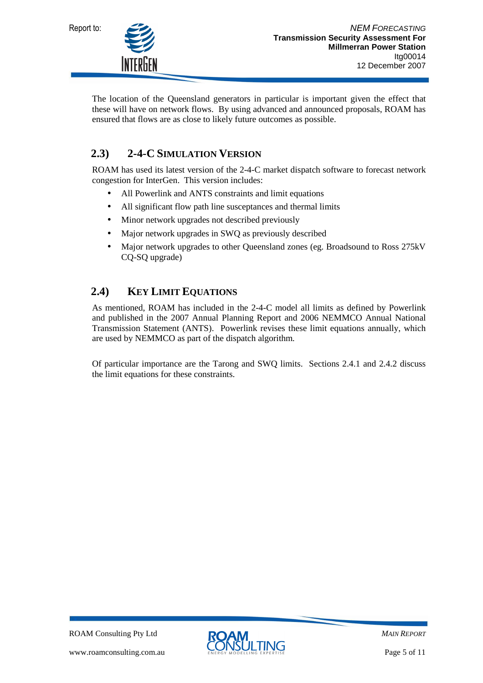

The location of the Queensland generators in particular is important given the effect that these will have on network flows. By using advanced and announced proposals, ROAM has ensured that flows are as close to likely future outcomes as possible.

#### **2.3) 2-4-C SIMULATION VERSION**

ROAM has used its latest version of the 2-4-C market dispatch software to forecast network congestion for InterGen. This version includes:

- All Powerlink and ANTS constraints and limit equations
- All significant flow path line susceptances and thermal limits
- Minor network upgrades not described previously
- Major network upgrades in SWQ as previously described
- Major network upgrades to other Queensland zones (eg. Broadsound to Ross 275kV CQ-SQ upgrade)

### **2.4) KEY LIMIT EQUATIONS**

As mentioned, ROAM has included in the 2-4-C model all limits as defined by Powerlink and published in the 2007 Annual Planning Report and 2006 NEMMCO Annual National Transmission Statement (ANTS). Powerlink revises these limit equations annually, which are used by NEMMCO as part of the dispatch algorithm.

Of particular importance are the Tarong and SWQ limits. Sections 2.4.1 and 2.4.2 discuss the limit equations for these constraints.

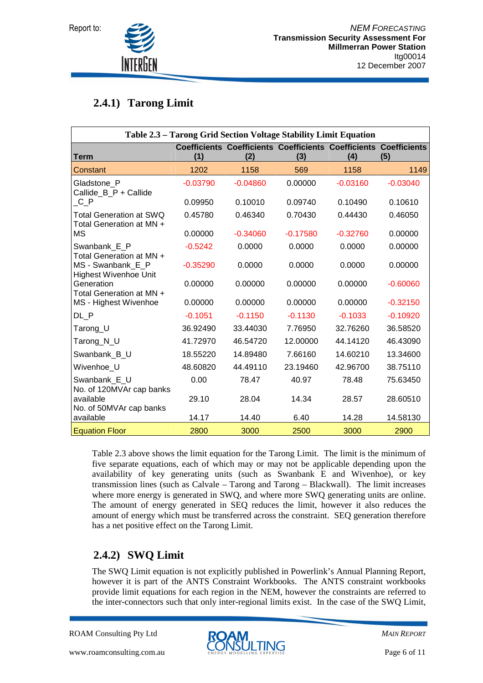

### **2.4.1) Tarong Limit**

| Table 2.3 - Tarong Grid Section Voltage Stability Limit Equation |            |            |                                                                                |            |            |  |
|------------------------------------------------------------------|------------|------------|--------------------------------------------------------------------------------|------------|------------|--|
| <b>Term</b>                                                      | (1)        | (2)        | <b>Coefficients Coefficients Coefficients Coefficients Coefficients</b><br>(3) | (4)        | (5)        |  |
| Constant                                                         | 1202       | 1158       | 569                                                                            | 1158       | 1149       |  |
| Gladstone P<br>Callide_B_P + Callide                             | $-0.03790$ | $-0.04860$ | 0.00000                                                                        | $-0.03160$ | $-0.03040$ |  |
| $C_P$                                                            | 0.09950    | 0.10010    | 0.09740                                                                        | 0.10490    | 0.10610    |  |
| <b>Total Generation at SWQ</b><br>Total Generation at MN +       | 0.45780    | 0.46340    | 0.70430                                                                        | 0.44430    | 0.46050    |  |
| МS                                                               | 0.00000    | $-0.34060$ | $-0.17580$                                                                     | $-0.32760$ | 0.00000    |  |
| Swanbank E P<br>Total Generation at MN +                         | $-0.5242$  | 0.0000     | 0.0000                                                                         | 0.0000     | 0.00000    |  |
| MS - Swanbank_E_P<br><b>Highest Wivenhoe Unit</b>                | $-0.35290$ | 0.0000     | 0.0000                                                                         | 0.0000     | 0.00000    |  |
| Generation<br>Total Generation at MN +                           | 0.00000    | 0.00000    | 0.00000                                                                        | 0.00000    | $-0.60060$ |  |
| MS - Highest Wivenhoe                                            | 0.00000    | 0.00000    | 0.00000                                                                        | 0.00000    | $-0.32150$ |  |
| DL P                                                             | $-0.1051$  | $-0.1150$  | $-0.1130$                                                                      | $-0.1033$  | $-0.10920$ |  |
| Tarong_U                                                         | 36.92490   | 33.44030   | 7.76950                                                                        | 32.76260   | 36.58520   |  |
| Tarong_N_U                                                       | 41.72970   | 46.54720   | 12.00000                                                                       | 44.14120   | 46.43090   |  |
| Swanbank_B_U                                                     | 18.55220   | 14.89480   | 7.66160                                                                        | 14.60210   | 13.34600   |  |
| Wivenhoe U                                                       | 48.60820   | 44.49110   | 23.19460                                                                       | 42.96700   | 38.75110   |  |
| Swanbank E U<br>No. of 120MVAr cap banks                         | 0.00       | 78.47      | 40.97                                                                          | 78.48      | 75.63450   |  |
| available<br>No. of 50MVAr cap banks                             | 29.10      | 28.04      | 14.34                                                                          | 28.57      | 28.60510   |  |
| available                                                        | 14.17      | 14.40      | 6.40                                                                           | 14.28      | 14.58130   |  |
| <b>Equation Floor</b>                                            | 2800       | 3000       | 2500                                                                           | 3000       | 2900       |  |

Table 2.3 above shows the limit equation for the Tarong Limit. The limit is the minimum of five separate equations, each of which may or may not be applicable depending upon the availability of key generating units (such as Swanbank E and Wivenhoe), or key transmission lines (such as Calvale – Tarong and Tarong – Blackwall). The limit increases where more energy is generated in SWQ, and where more SWQ generating units are online. The amount of energy generated in SEQ reduces the limit, however it also reduces the amount of energy which must be transferred across the constraint. SEQ generation therefore has a net positive effect on the Tarong Limit.

### **2.4.2) SWQ Limit**

The SWQ Limit equation is not explicitly published in Powerlink's Annual Planning Report, however it is part of the ANTS Constraint Workbooks. The ANTS constraint workbooks provide limit equations for each region in the NEM, however the constraints are referred to the inter-connectors such that only inter-regional limits exist. In the case of the SWQ Limit,

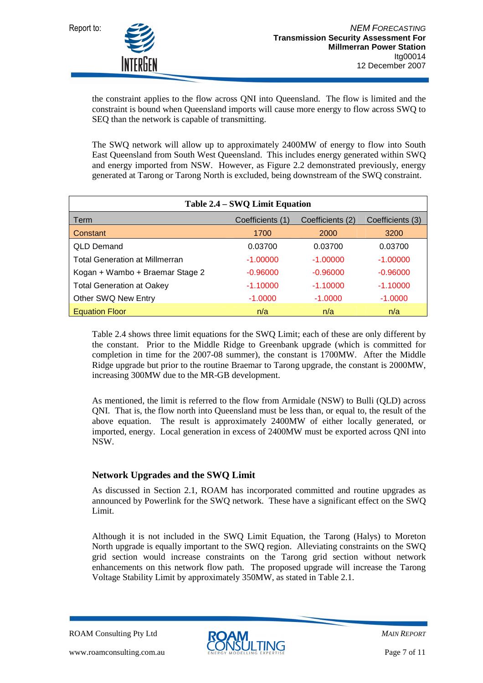

the constraint applies to the flow across QNI into Queensland. The flow is limited and the constraint is bound when Queensland imports will cause more energy to flow across SWQ to SEQ than the network is capable of transmitting.

The SWQ network will allow up to approximately 2400MW of energy to flow into South East Queensland from South West Queensland. This includes energy generated within SWQ and energy imported from NSW. However, as Figure 2.2 demonstrated previously, energy generated at Tarong or Tarong North is excluded, being downstream of the SWQ constraint.

| Table 2.4 – SWQ Limit Equation        |                  |                  |                  |  |  |
|---------------------------------------|------------------|------------------|------------------|--|--|
| Term                                  | Coefficients (1) | Coefficients (2) | Coefficients (3) |  |  |
| Constant                              | 1700             | 2000             | 3200             |  |  |
| <b>QLD Demand</b>                     | 0.03700          | 0.03700          | 0.03700          |  |  |
| <b>Total Generation at Millmerran</b> | $-1.00000$       | $-1.00000$       | $-1.00000$       |  |  |
| Kogan + Wambo + Braemar Stage 2       | $-0.96000$       | $-0.96000$       | $-0.96000$       |  |  |
| <b>Total Generation at Oakey</b>      | $-1.10000$       | $-1.10000$       | $-1.10000$       |  |  |
| Other SWQ New Entry                   | $-1.0000$        | $-1.0000$        | $-1.0000$        |  |  |
| <b>Equation Floor</b>                 | n/a              | n/a              | n/a              |  |  |

Table 2.4 shows three limit equations for the SWQ Limit; each of these are only different by the constant. Prior to the Middle Ridge to Greenbank upgrade (which is committed for completion in time for the 2007-08 summer), the constant is 1700MW. After the Middle Ridge upgrade but prior to the routine Braemar to Tarong upgrade, the constant is 2000MW, increasing 300MW due to the MR-GB development.

As mentioned, the limit is referred to the flow from Armidale (NSW) to Bulli (QLD) across QNI. That is, the flow north into Queensland must be less than, or equal to, the result of the above equation. The result is approximately 2400MW of either locally generated, or imported, energy. Local generation in excess of 2400MW must be exported across QNI into NSW.

#### **Network Upgrades and the SWQ Limit**

As discussed in Section 2.1, ROAM has incorporated committed and routine upgrades as announced by Powerlink for the SWQ network. These have a significant effect on the SWQ Limit.

Although it is not included in the SWQ Limit Equation, the Tarong (Halys) to Moreton North upgrade is equally important to the SWQ region. Alleviating constraints on the SWQ grid section would increase constraints on the Tarong grid section without network enhancements on this network flow path. The proposed upgrade will increase the Tarong Voltage Stability Limit by approximately 350MW, as stated in Table 2.1.

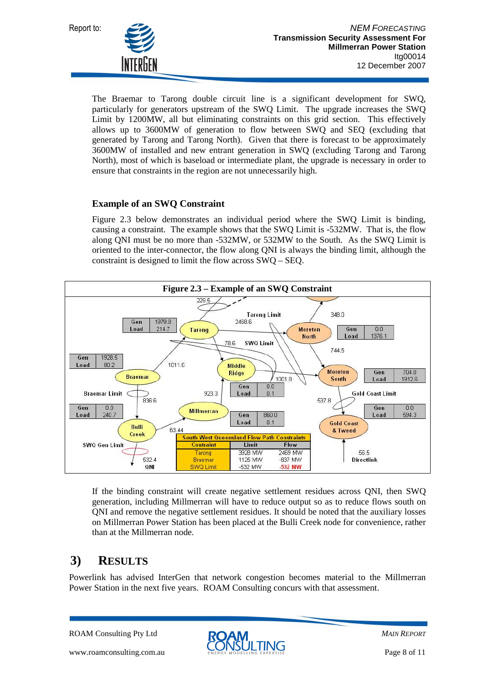

The Braemar to Tarong double circuit line is a significant development for SWQ, particularly for generators upstream of the SWQ Limit. The upgrade increases the SWQ Limit by 1200MW, all but eliminating constraints on this grid section. This effectively allows up to 3600MW of generation to flow between SWQ and SEQ (excluding that generated by Tarong and Tarong North). Given that there is forecast to be approximately 3600MW of installed and new entrant generation in SWQ (excluding Tarong and Tarong North), most of which is baseload or intermediate plant, the upgrade is necessary in order to ensure that constraints in the region are not unnecessarily high.

#### **Example of an SWQ Constraint**

Figure 2.3 below demonstrates an individual period where the SWQ Limit is binding, causing a constraint. The example shows that the SWQ Limit is -532MW. That is, the flow along QNI must be no more than -532MW, or 532MW to the South. As the SWQ Limit is oriented to the inter-connector, the flow along QNI is always the binding limit, although the constraint is designed to limit the flow across SWQ – SEQ.



If the binding constraint will create negative settlement residues across QNI, then SWQ generation, including Millmerran will have to reduce output so as to reduce flows south on QNI and remove the negative settlement residues. It should be noted that the auxiliary losses on Millmerran Power Station has been placed at the Bulli Creek node for convenience, rather than at the Millmerran node.

#### **3) RESULTS**

Powerlink has advised InterGen that network congestion becomes material to the Millmerran Power Station in the next five years. ROAM Consulting concurs with that assessment.

ROAM Consulting Pty Ltd



*MAIN REPORT*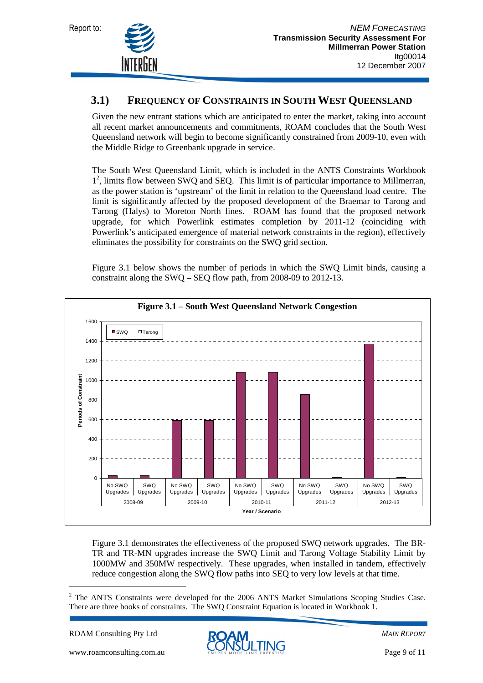

#### **3.1) FREQUENCY OF CONSTRAINTS IN SOUTH WEST QUEENSLAND**

Given the new entrant stations which are anticipated to enter the market, taking into account all recent market announcements and commitments, ROAM concludes that the South West Queensland network will begin to become significantly constrained from 2009-10, even with the Middle Ridge to Greenbank upgrade in service.

The South West Queensland Limit, which is included in the ANTS Constraints Workbook 1 2 , limits flow between SWQ and SEQ. This limit is of particular importance to Millmerran, as the power station is 'upstream' of the limit in relation to the Queensland load centre. The limit is significantly affected by the proposed development of the Braemar to Tarong and Tarong (Halys) to Moreton North lines. ROAM has found that the proposed network upgrade, for which Powerlink estimates completion by 2011-12 (coinciding with Powerlink's anticipated emergence of material network constraints in the region), effectively eliminates the possibility for constraints on the SWQ grid section.

Figure 3.1 below shows the number of periods in which the SWQ Limit binds, causing a constraint along the SWQ – SEQ flow path, from 2008-09 to 2012-13.



Figure 3.1 demonstrates the effectiveness of the proposed SWQ network upgrades. The BR-TR and TR-MN upgrades increase the SWQ Limit and Tarong Voltage Stability Limit by 1000MW and 350MW respectively. These upgrades, when installed in tandem, effectively reduce congestion along the SWQ flow paths into SEQ to very low levels at that time.

ROAM Consulting Pty Ltd

 $\overline{a}$ 



<sup>&</sup>lt;sup>2</sup> The ANTS Constraints were developed for the 2006 ANTS Market Simulations Scoping Studies Case. There are three books of constraints. The SWQ Constraint Equation is located in Workbook 1.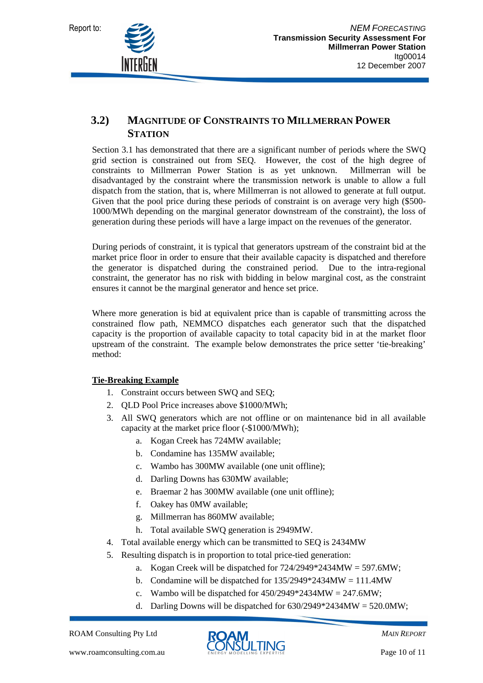

#### **3.2) MAGNITUDE OF CONSTRAINTS TO MILLMERRAN POWER STATION**

Section 3.1 has demonstrated that there are a significant number of periods where the SWQ grid section is constrained out from SEQ. However, the cost of the high degree of constraints to Millmerran Power Station is as yet unknown. Millmerran will be disadvantaged by the constraint where the transmission network is unable to allow a full dispatch from the station, that is, where Millmerran is not allowed to generate at full output. Given that the pool price during these periods of constraint is on average very high (\$500- 1000/MWh depending on the marginal generator downstream of the constraint), the loss of generation during these periods will have a large impact on the revenues of the generator.

During periods of constraint, it is typical that generators upstream of the constraint bid at the market price floor in order to ensure that their available capacity is dispatched and therefore the generator is dispatched during the constrained period. Due to the intra-regional constraint, the generator has no risk with bidding in below marginal cost, as the constraint ensures it cannot be the marginal generator and hence set price.

Where more generation is bid at equivalent price than is capable of transmitting across the constrained flow path, NEMMCO dispatches each generator such that the dispatched capacity is the proportion of available capacity to total capacity bid in at the market floor upstream of the constraint. The example below demonstrates the price setter 'tie-breaking' method:

#### **Tie-Breaking Example**

- 1. Constraint occurs between SWQ and SEQ;
- 2. QLD Pool Price increases above \$1000/MWh;
- 3. All SWQ generators which are not offline or on maintenance bid in all available capacity at the market price floor (-\$1000/MWh);
	- a. Kogan Creek has 724MW available;
	- b. Condamine has 135MW available;
	- c. Wambo has 300MW available (one unit offline);
	- d. Darling Downs has 630MW available;
	- e. Braemar 2 has 300MW available (one unit offline);
	- f. Oakey has 0MW available;
	- g. Millmerran has 860MW available;
	- h. Total available SWQ generation is 2949MW.
- 4. Total available energy which can be transmitted to SEQ is 2434MW
- 5. Resulting dispatch is in proportion to total price-tied generation:
	- a. Kogan Creek will be dispatched for 724/2949\*2434MW = 597.6MW;
		- b. Condamine will be dispatched for  $135/2949*2434MW = 111.4MW$
		- c. Wambo will be dispatched for  $450/2949*2434MW = 247.6MW$ ;
		- d. Darling Downs will be dispatched for  $630/2949*2434MW = 520.0MW$ ;